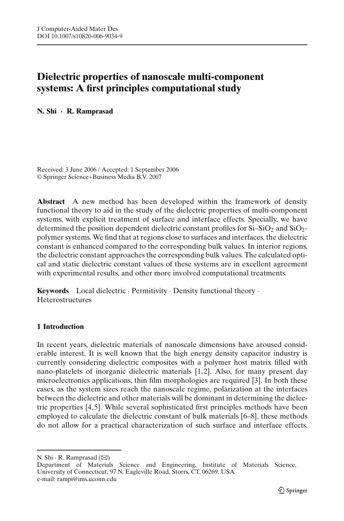# **Dielectric properties of nanoscale multi-component systems: A first principles computational study**

**N. Shi · R. Ramprasad**

Received: 3 June 2006 / Accepted: 1 September 2006 © Springer Science+Business Media B.V. 2007

**Abstract** A new method has been developed within the framework of density functional theory to aid in the study of the dielectric properties of multi-component systems, with explicit treatment of surface and interface effects. Specially, we have determined the position dependent dielectric constant profiles for  $Si-SiO<sub>2</sub>$  and  $SiO<sub>2</sub>$ polymer systems. We find that at regions close to surfaces and interfaces, the dielectric constant is enhanced compared to the corresponding bulk values. In interior regions, the dielectric constant approaches the corresponding bulk values. The calculated optical and static dielectric constant values of these systems are in excellent agreement with experimental results, and other more involved computational treatments.

**Keywords** Local dielectric · Permitivity · Density functional theory · Heterostructures

# **1 Introduction**

In recent years, dielectric materials of nanoscale dimensions have aroused considerable interest. It is well known that the high energy density capacitor industry is currently considering dielectric composites with a polymer host matrix filled with nano-platelets of inorganic dielectric materials [\[1](#page-5-0)[,2](#page-5-1)]. Also, for many present day microelectronics applications, thin film morphologies are required [\[3\]](#page-5-2). In both these cases, as the system sizes reach the nanoscale regime, polarization at the interfaces between the dielectric and other materials will be dominant in determining the dielectric properties [\[4](#page-5-3)[,5](#page-5-4)]. While several sophisticated first principles methods have been employed to calculate the dielectric constant of bulk materials [\[6](#page-5-5)[–8](#page-5-6)], these methods do not allow for a practical characterization of such surface and interface effects.

N. Shi · R. Ramprasad  $(\boxtimes)$ 

Department of Materials Science and Engineering, Institute of Materials Science, University of Connecticut, 97 N. Eagleville Road, Storrs, CT, 06269, USA e-mail: rampi@ims.uconn.edu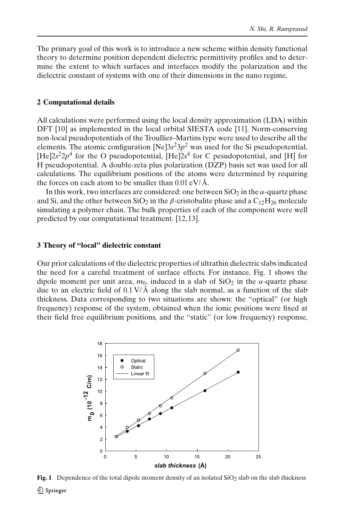The primary goal of this work is to introduce a new scheme within density functional theory to determine position dependent dielectric permittivity profiles and to determine the extent to which surfaces and interfaces modify the polarization and the dielectric constant of systems with one of their dimensions in the nano regime.

#### **2 Computational details**

All calculations were performed using the local density approximation (LDA) within DFT [\[10](#page-6-0)] as implemented in the local orbital SIESTA code [\[11\]](#page-6-1). Norm-conserving non-local pseudopotentials of the Troullier–Martins type were used to describe all the elements. The atomic configuration  $[Ne]3s^23p^2$  was used for the Si pseudopotential,  $[He]2s^22p^4$  for the O pseudopotential,  $[He]2s^4$  for C pesudopotential, and [H] for H pseudopotential. A double-zeta plus polarization (DZP) basis set was used for all calculations. The equilibrium positions of the atoms were determined by requiring the forces on each atom to be smaller than  $0.01 \text{ eV} / \text{\AA}$ .

In this work, two interfaces are considered: one between  $SiO<sub>2</sub>$  in the  $\alpha$ -quartz phase and Si, and the other between SiO<sub>2</sub> in the  $\beta$ -cristobalite phase and a C<sub>12</sub>H<sub>26</sub> molecule simulating a polymer chain. The bulk properties of each of the component were well predicted by our computational treatment. [\[12](#page-6-2)[,13\]](#page-6-3).

#### **3 Theory of "local" dielectric constant**

Our prior calculations of the dielectric properties of ultrathin dielectric slabs indicated the need for a careful treatment of surface effects. For instance, Fig. [1](#page-1-0) shows the dipole moment per unit area,  $m_0$ , induced in a slab of SiO<sub>2</sub> in the  $\alpha$ -quartz phase due to an electric field of  $0.1 \text{ V/A}$  along the slab normal, as a function of the slab thickness. Data corresponding to two situations are shown: the "optical" (or high frequency) response of the system, obtained when the ionic positions were fixed at their field free equilibrium positions, and the "static" (or low frequency) response,



<span id="page-1-0"></span>**Fig. 1** Dependence of the total dipole moment density of an isolated  $SiO<sub>2</sub>$  slab on the slab thickness 2 Springer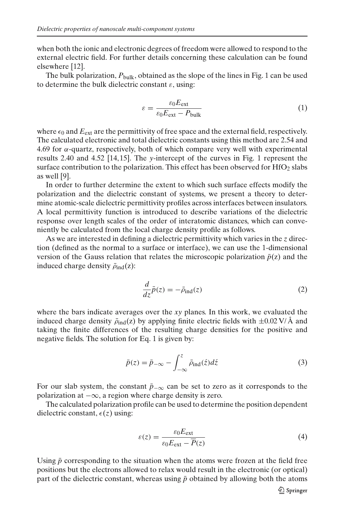when both the ionic and electronic degrees of freedom were allowed to respond to the external electric field. For further details concerning these calculation can be found elsewhere [\[12](#page-6-2)].

The bulk polarization,  $P_{\text{bulk}}$ , obtained as the slope of the lines in Fig. [1](#page-1-0) can be used to determine the bulk dielectric constant  $\varepsilon$ , using:

<span id="page-2-0"></span>
$$
\varepsilon = \frac{\varepsilon_0 E_{\text{ext}}}{\varepsilon_0 E_{\text{ext}} - P_{\text{bulk}}}
$$
(1)

where  $\epsilon_0$  and  $E_{\text{ext}}$  are the permittivity of free space and the external field, respectively. The calculated electronic and total dielectric constants using this method are 2.54 and  $4.69$  for  $\alpha$ -quartz, respectively, both of which compare very well with experimental results 2.40 and 4.52 [\[14,](#page-6-4)[15\]](#page-6-5). The *y*-intercept of the curves in Fig. [1](#page-1-0) represent the surface contribution to the polarization. This effect has been observed for  $HfO<sub>2</sub>$  slabs as well [\[9](#page-5-7)].

In order to further determine the extent to which such surface effects modify the polarization and the dielectric constant of systems, we present a theory to determine atomic-scale dielectric permittivity profiles across interfaces between insulators. A local permittivity function is introduced to describe variations of the dielectric response over length scales of the order of interatomic distances, which can conveniently be calculated from the local charge density profile as follows.

As we are interested in defining a dielectric permittivity which varies in the *z* direction (defined as the normal to a surface or interface), we can use the 1-dimensional version of the Gauss relation that relates the microscopic polarization  $\bar{p}(z)$  and the induced charge density  $\bar{\rho}_{ind}(z)$ :

$$
\frac{d}{dz}\bar{p}(z) = -\bar{\rho}_{\text{ind}}(z)
$$
\n(2)

where the bars indicate averages over the *xy* planes. In this work, we evaluated the induced charge density  $\bar{\rho}_{ind}(z)$  by applying finite electric fields with  $\pm 0.02$  V/Å and taking the finite differences of the resulting charge densities for the positive and negative fields. The solution for Eq. [1](#page-2-0) is given by:

$$
\bar{p}(z) = \bar{p}_{-\infty} - \int_{-\infty}^{z} \bar{\rho}_{\text{ind}}(\acute{z}) d\acute{z}
$$
 (3)

For our slab system, the constant  $\bar{p}_{-\infty}$  can be set to zero as it corresponds to the polarization at  $-\infty$ , a region where charge density is zero.

The calculated polarization profile can be used to determine the position dependent dielectric constant,  $\epsilon(z)$  using:

$$
\varepsilon(z) = \frac{\varepsilon_0 E_{\text{ext}}}{\varepsilon_0 E_{\text{ext}} - \overline{P}(z)}
$$
(4)

Using  $\bar{p}$  corresponding to the situation when the atoms were frozen at the field free positions but the electrons allowed to relax would result in the electronic (or optical) part of the dielectric constant, whereas using  $\bar{p}$  obtained by allowing both the atoms

**◯** Springer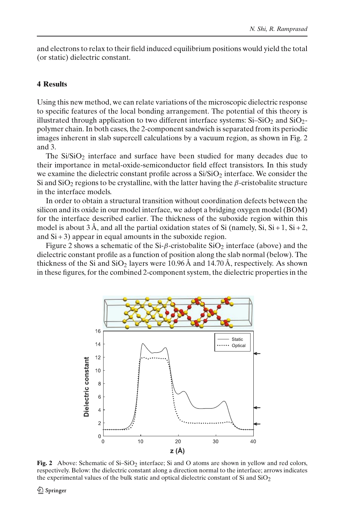and electrons to relax to their field induced equilibrium positions would yield the total (or static) dielectric constant.

## **4 Results**

Using this new method, we can relate variations of the microscopic dielectric response to specific features of the local bonding arrangement. The potential of this theory is illustrated through application to two different interface systems:  $Si-SiO<sub>2</sub>$  and  $SiO<sub>2</sub>$ polymer chain. In both cases, the 2-component sandwich is separated from its periodic images inherent in slab supercell calculations by a vacuum region, as shown in Fig. [2](#page-3-0) and [3.](#page-4-0)

The  $Si/SiO<sub>2</sub>$  interface and surface have been studied for many decades due to their importance in metal-oxide-semiconductor field effect transistors. In this study we examine the dielectric constant profile across a  $Si/SiO<sub>2</sub>$  interface. We consider the Si and SiO<sub>2</sub> regions to be crystalline, with the latter having the  $\beta$ -cristobalite structure in the interface models.

In order to obtain a structural transition without coordination defects between the silicon and its oxide in our model interface, we adopt a bridging oxygen model (BOM) for the interface described earlier. The thickness of the suboxide region within this model is about  $3 \text{ Å}$ , and all the partial oxidation states of Si (namely, Si, Si + 1, Si + 2, and  $Si + 3$ ) appear in equal amounts in the suboxide region.

Figure [2](#page-3-0) shows a schematic of the Si- $\beta$ -cristobalite SiO<sub>2</sub> interface (above) and the dielectric constant profile as a function of position along the slab normal (below). The thickness of the Si and  $SiO<sub>2</sub>$  layers were 10.96 Å and 14.70 Å, respectively. As shown in these figures, for the combined 2-component system, the dielectric properties in the



<span id="page-3-0"></span>**Fig. 2** Above: Schematic of Si–SiO<sub>2</sub> interface; Si and O atoms are shown in yellow and red colors, respectively. Below: the dielectric constant along a direction normal to the interface; arrows indicates the experimental values of the bulk static and optical dielectric constant of Si and  $SiO<sub>2</sub>$ 

 $\mathcal{Q}$  Springer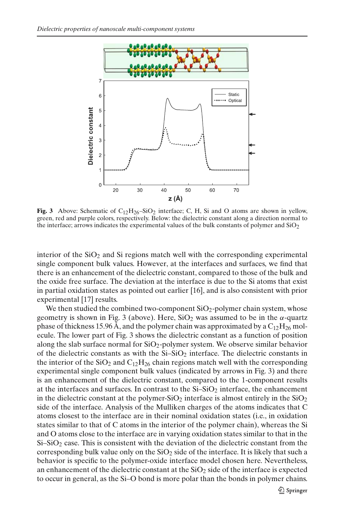

<span id="page-4-0"></span>**Fig. 3** Above: Schematic of  $C_{12}H_{26}$ –SiO<sub>2</sub> interface; C, H, Si and O atoms are shown in yellow, green, red and purple colors, respectively. Below: the dielectric constant along a direction normal to the interface; arrows indicates the experimental values of the bulk constants of polymer and  $SiO<sub>2</sub>$ 

interior of the  $SiO<sub>2</sub>$  and  $Si$  regions match well with the corresponding experimental single component bulk values. However, at the interfaces and surfaces, we find that there is an enhancement of the dielectric constant, compared to those of the bulk and the oxide free surface. The deviation at the interface is due to the Si atoms that exist in partial oxidation states as pointed out earlier [\[16\]](#page-6-6), and is also consistent with prior experimental [\[17](#page-6-7)] results.

We then studied the combined two-component  $SiO<sub>2</sub>$ -polymer chain system, whose geometry is shown in Fig. [3](#page-4-0) (above). Here,  $SiO<sub>2</sub>$  was assumed to be in the  $\alpha$ -quartz phase of thickness 15.96 Å, and the polymer chain was approximated by a  $C_{12}H_{26}$  molecule. The lower part of Fig. [3](#page-4-0) shows the dielectric constant as a function of position along the slab surface normal for  $SiO<sub>2</sub>$ -polymer system. We observe similar behavior of the dielectric constants as with the  $Si-SiO<sub>2</sub>$  interface. The dielectric constants in the interior of the  $SiO_2$  and  $C_{12}H_{26}$  chain regions match well with the corresponding experimental single component bulk values (indicated by arrows in Fig. [3\)](#page-4-0) and there is an enhancement of the dielectric constant, compared to the 1-component results at the interfaces and surfaces. In contrast to the  $Si-SiO<sub>2</sub>$  interface, the enhancement in the dielectric constant at the polymer-SiO<sub>2</sub> interface is almost entirely in the  $SiO<sub>2</sub>$ side of the interface. Analysis of the Mulliken charges of the atoms indicates that C atoms closest to the interface are in their nominal oxidation states (i.e., in oxidation states similar to that of C atoms in the interior of the polymer chain), whereas the Si and O atoms close to the interface are in varying oxidation states similar to that in the  $Si-SiO<sub>2</sub>$  case. This is consistent with the deviation of the dielectric constant from the corresponding bulk value only on the  $SiO<sub>2</sub>$  side of the interface. It is likely that such a behavior is specific to the polymer-oxide interface model chosen here. Nevertheless, an enhancement of the dielectric constant at the  $SiO<sub>2</sub>$  side of the interface is expected to occur in general, as the Si–O bond is more polar than the bonds in polymer chains.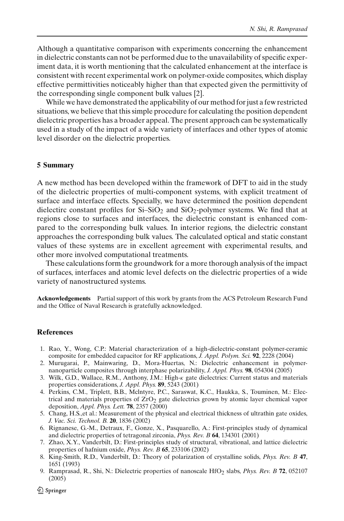Although a quantitative comparison with experiments concerning the enhancement in dielectric constants can not be performed due to the unavailability of specific experiment data, it is worth mentioning that the calculated enhancement at the interface is consistent with recent experimental work on polymer-oxide composites, which display effective permittivities noticeably higher than that expected given the permittivity of the corresponding single component bulk values [\[2](#page-5-1)].

While we have demonstrated the applicability of our method for just a few restricted situations, we believe that this simple procedure for calculating the position dependent dielectric properties has a broader appeal. The present approach can be systematically used in a study of the impact of a wide variety of interfaces and other types of atomic level disorder on the dielectric properties.

### **5 Summary**

A new method has been developed within the framework of DFT to aid in the study of the dielectric properties of multi-component systems, with explicit treatment of surface and interface effects. Specially, we have determined the position dependent dielectirc constant profiles for  $Si-SiO<sub>2</sub>$  and  $SiO<sub>2</sub>$ -polymer systems. We find that at regions close to surfaces and interfaces, the dielectric constant is enhanced compared to the corresponding bulk values. In interior regions, the dielectric constant approaches the corresponding bulk values. The calculated optical and static constant values of these systems are in excellent agreement with experimental results, and other more involved computational treatments.

These calculations form the groundwork for a more thorough analysis of the impact of surfaces, interfaces and atomic level defects on the dielectric properties of a wide variety of nanostructured systems.

**Acknowledgements** Partial support of this work by grants from the ACS Petroleum Research Fund and the Office of Naval Research is gratefully acknowledged.

#### <span id="page-5-0"></span>**References**

- 1. Rao, Y., Wong, C.P.: Material characterization of a high-dielectric-constant polymer-ceramic composite for embedded capacitor for RF applications, *J. Appl. Polym. Sci.* **92**, 2228 (2004)
- <span id="page-5-1"></span>2. Murugarai, P., Mainwaring, D., Mora-Huertas, N.: Dielectric enhancement in polymernanoparticle composites through interphase polarizability, *J. Appl. Phys.* **98**, 054304 (2005)
- <span id="page-5-2"></span>3. Wilk, G.D., Wallace, R.M., Anthony, J.M.: High-κ gate dielectrics: Current status and materials properties considerations, *J. Appl. Phys.* **89**, 5243 (2001)
- <span id="page-5-3"></span>4. Perkins, C.M., Triplett, B.B., Mclntyre, P.C., Saraswat, K.C., Haukka, S., Touminen, M.: Electrical and materials properties of  $ZrO<sub>2</sub>$  gate dielectrics grown by atomic layer chemical vapor deposition, *Appl. Phys. Lett.* **78**, 2357 (2000)
- <span id="page-5-4"></span>5. Chang, H.S.,et al.: Measurement of the physical and electrical thickness of ultrathin gate oxides, *J. Vac. Sci. Technol. B.* **20**, 1836 (2002)
- <span id="page-5-5"></span>6. Rignanese, G.-M., Detraux, F., Gonze, X., Pasquarello, A.: First-principles study of dynamical and dielectric properties of tetragonal zirconia, *Phys. Rev. B* **64**, 134301 (2001)
- 7. Zhao, X.Y., Vanderbilt, D.: First-principles study of structural, vibrational, and lattice dielectric properties of hafnium oxide, *Phys. Rev. B* **65**, 233106 (2002)
- <span id="page-5-6"></span>8. King-Smith, R.D., Vanderbilt, D.: Theory of polarization of crystalline solids, *Phys. Rev. B* **47**, 1651 (1993)
- 9. Ramprasad, R., Shi, N.: Dielectric properties of nanoscale HfO2 slabs, *Phys. Rev. B* **72**, 052107 (2005)

<span id="page-5-7"></span>**<sup>◯</sup>** Springer